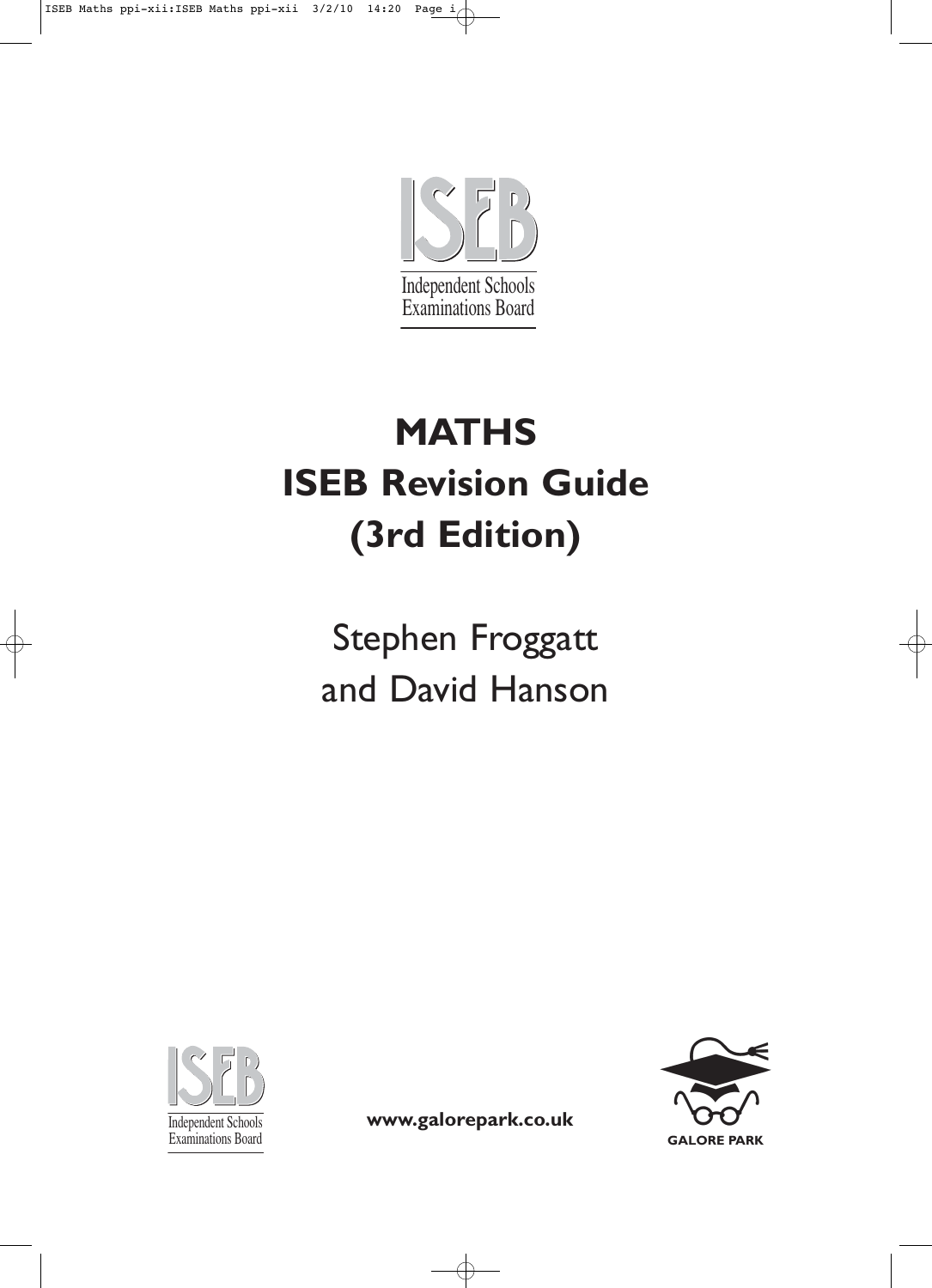

# **MATHS ISEB Revision Guide (3rd Edition)**

Stephen Froggatt and David Hanson





Independent Schools **www.galorepark.co.uk**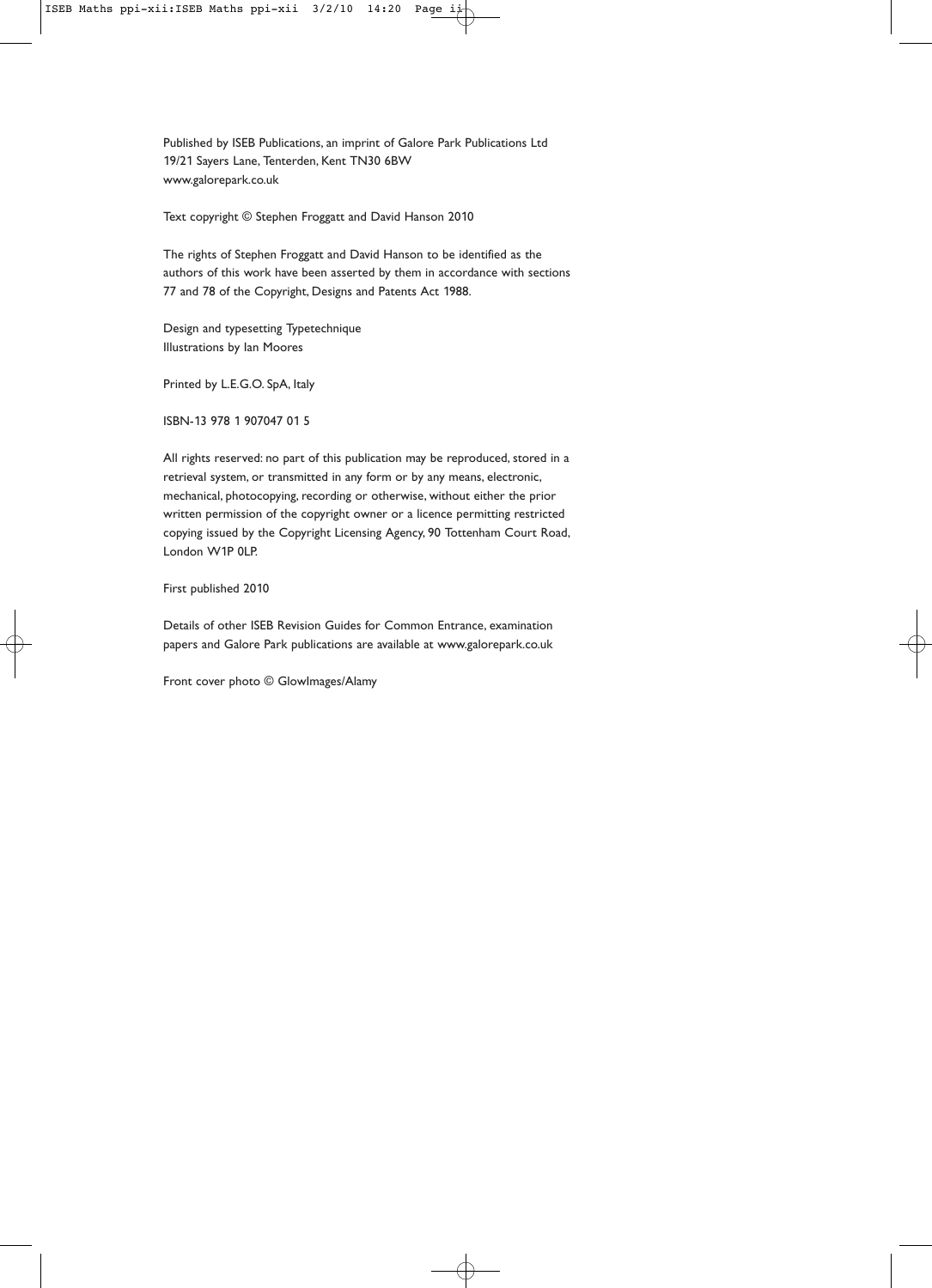Published by ISEB Publications, an imprint of Galore Park Publications Ltd 19/21 Sayers Lane, Tenterden, Kent TN30 6BW www.galorepark.co.uk

Text copyright © Stephen Froggatt and David Hanson 2010

The rights of Stephen Froggatt and David Hanson to be identified as the authors of this work have been asserted by them in accordance with sections 77 and 78 of the Copyright, Designs and Patents Act 1988.

Design and typesetting Typetechnique Illustrations by Ian Moores

Printed by L.E.G.O. SpA, Italy

ISBN-13 978 1 907047 01 5

All rights reserved: no part of this publication may be reproduced, stored in a retrieval system, or transmitted in any form or by any means, electronic, mechanical, photocopying, recording or otherwise, without either the prior written permission of the copyright owner or a licence permitting restricted copying issued by the Copyright Licensing Agency, 90 Tottenham Court Road, London W1P 0LP.

First published 2010

Details of other ISEB Revision Guides for Common Entrance, examination papers and Galore Park publications are available at www.galorepark.co.uk

Front cover photo © GlowImages/Alamy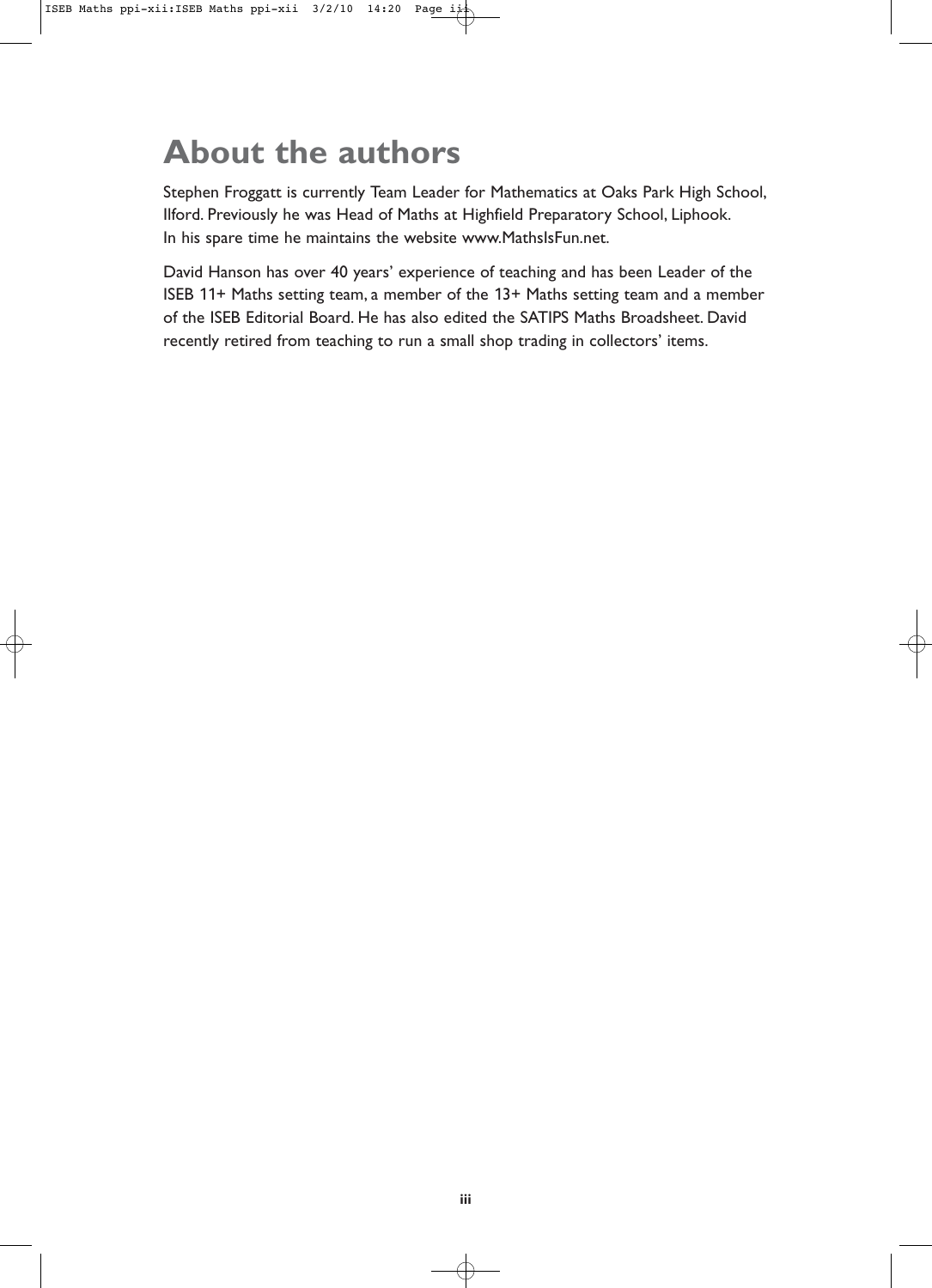## **About the authors**

Stephen Froggatt is currently Team Leader for Mathematics at Oaks Park High School, Ilford. Previously he was Head of Maths at Highfield Preparatory School, Liphook. In his spare time he maintains the website www.MathsIsFun.net.

David Hanson has over 40 years' experience of teaching and has been Leader of the ISEB 11+ Maths setting team, a member of the 13+ Maths setting team and a member of the ISEB Editorial Board. He has also edited the SATIPS Maths Broadsheet. David recently retired from teaching to run a small shop trading in collectors' items.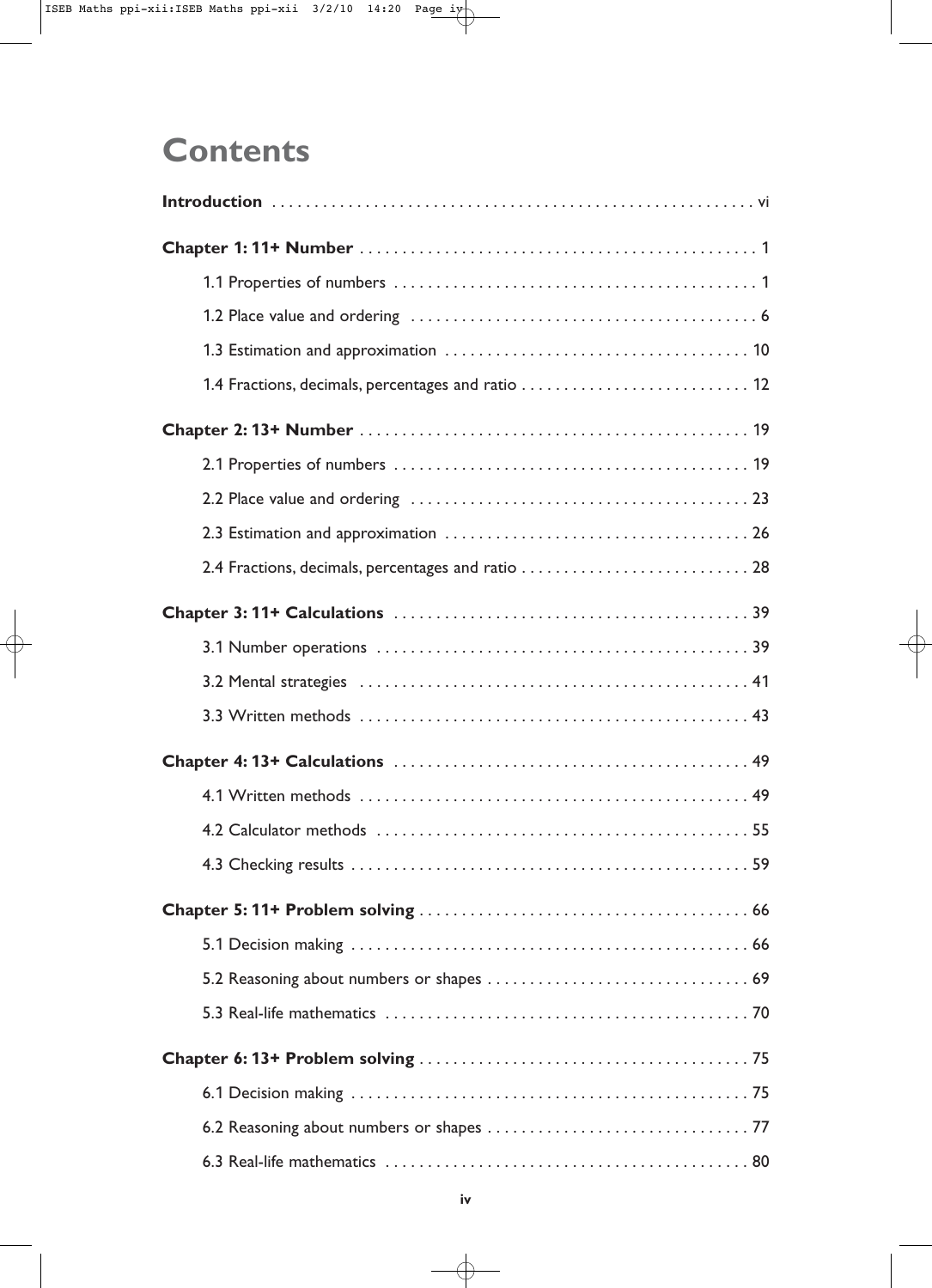## **Contents**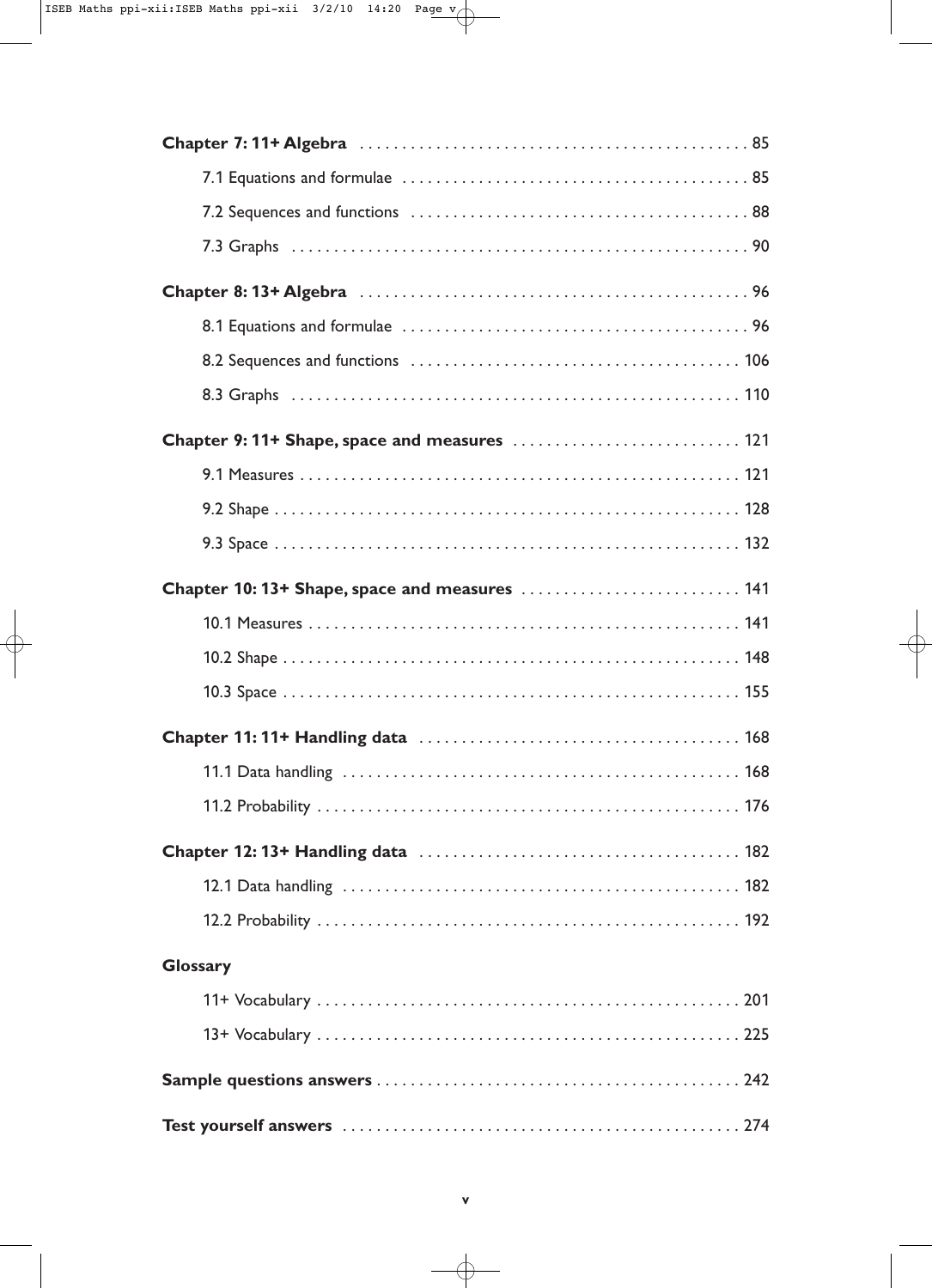| Chapter 10: 13+ Shape, space and measures  141 |
|------------------------------------------------|
|                                                |
|                                                |
|                                                |
|                                                |
|                                                |
|                                                |
|                                                |
|                                                |
|                                                |
| <b>Glossary</b>                                |
|                                                |
|                                                |
|                                                |
|                                                |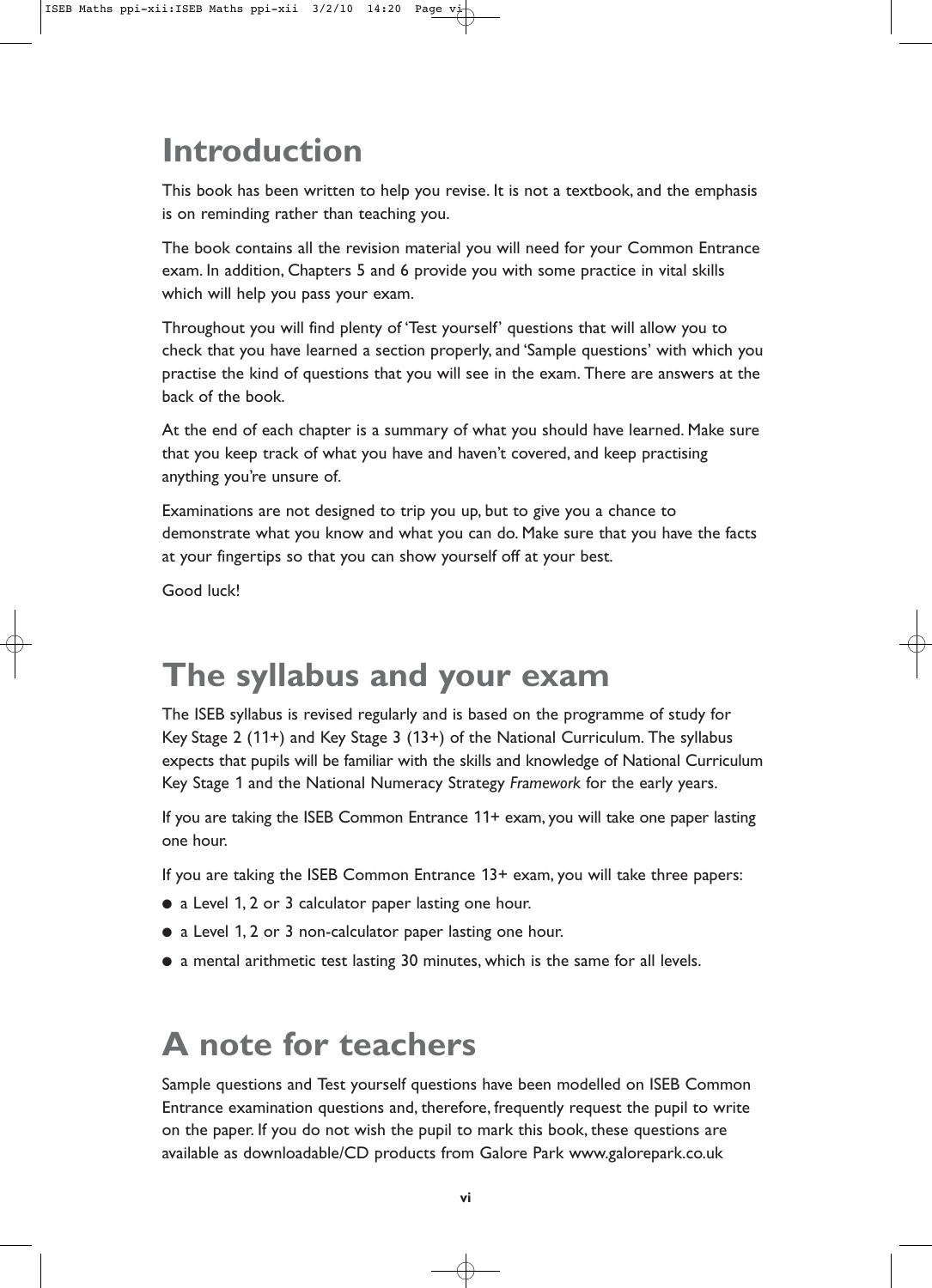## **Introduction**

This book has been written to help you revise. It is not a textbook, and the emphasis is on reminding rather than teaching you.

The book contains all the revision material you will need for your Common Entrance exam. In addition, Chapters 5 and 6 provide you with some practice in vital skills which will help you pass your exam.

Throughout you will find plenty of 'Test yourself' questions that will allow you to check that you have learned a section properly, and 'Sample questions' with which you practise the kind of questions that you will see in the exam. There are answers at the back of the book.

At the end of each chapter is a summary of what you should have learned. Make sure that you keep track of what you have and haven't covered, and keep practising anything you're unsure of.

Examinations are not designed to trip you up, but to give you a chance to demonstrate what you know and what you can do. Make sure that you have the facts at your fingertips so that you can show yourself off at your best.

Good luck!

## **The syllabus and your exam**

The ISEB syllabus is revised regularly and is based on the programme of study for Key Stage 2 (11+) and Key Stage 3 (13+) of the National Curriculum. The syllabus expects that pupils will be familiar with the skills and knowledge of National Curriculum Key Stage 1 and the National Numeracy Strategy *Framework* for the early years.

If you are taking the ISEB Common Entrance 11+ exam, you will take one paper lasting one hour.

If you are taking the ISEB Common Entrance 13+ exam, you will take three papers:

- a Level 1, 2 or 3 calculator paper lasting one hour.
- a Level 1, 2 or 3 non-calculator paper lasting one hour.
- a mental arithmetic test lasting 30 minutes, which is the same for all levels.

## **A note for teachers**

Sample questions and Test yourself questions have been modelled on ISEB Common Entrance examination questions and, therefore, frequently request the pupil to write on the paper. If you do not wish the pupil to mark this book, these questions are available as downloadable/CD products from Galore Park www.galorepark.co.uk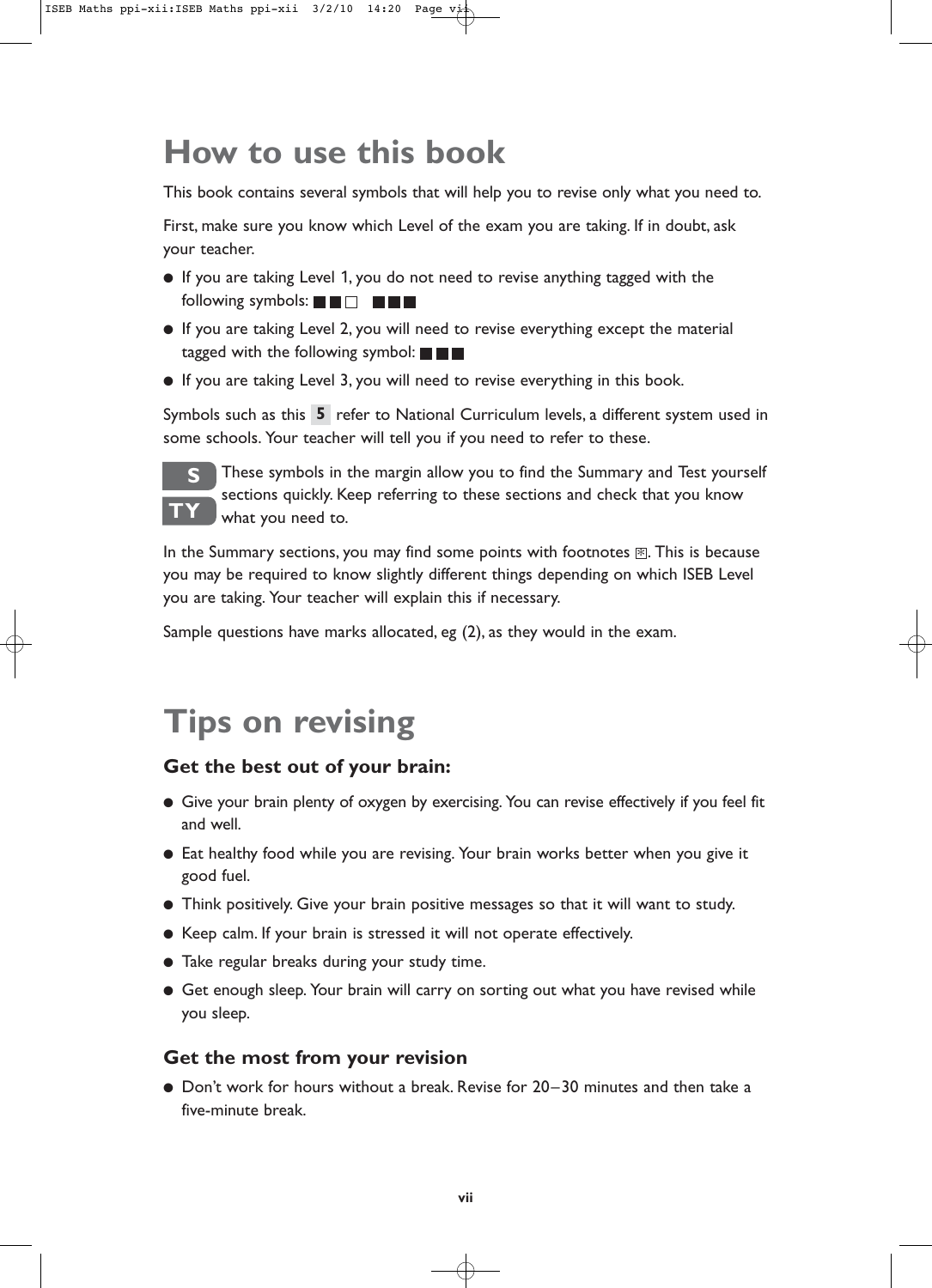## **How to use this book**

This book contains several symbols that will help you to revise only what you need to.

First, make sure you know which Level of the exam you are taking. If in doubt, ask your teacher.

- If you are taking Level 1, you do not need to revise anything tagged with the following symbols:  $\blacksquare$   $\blacksquare$   $\blacksquare$   $\blacksquare$   $\blacksquare$
- If you are taking Level 2, you will need to revise everything except the material tagged with the following symbol:  $\blacksquare$   $\blacksquare$
- If you are taking Level 3, you will need to revise everything in this book.

Symbols such as this 5 refer to National Curriculum levels, a different system used in some schools. Your teacher will tell you if you need to refer to these.



These symbols in the margin allow you to find the Summary and Test yourself sections quickly. Keep referring to these sections and check that you know what you need to.

In the Summary sections, you may find some points with footnotes  $\mathbb E.$  This is because you may be required to know slightly different things depending on which ISEB Level you are taking. Your teacher will explain this if necessary.

Sample questions have marks allocated, eg (2), as they would in the exam.

## **Tips on revising**

### **Get the best out of your brain:**

- Give your brain plenty of oxygen by exercising. You can revise effectively if you feel fit and well.
- Eat healthy food while you are revising. Your brain works better when you give it good fuel.
- Think positively. Give your brain positive messages so that it will want to study.
- Keep calm. If your brain is stressed it will not operate effectively.
- Take regular breaks during your study time.
- Get enough sleep. Your brain will carry on sorting out what you have revised while you sleep.

### **Get the most from your revision**

● Don't work for hours without a break. Revise for 20–30 minutes and then take a five-minute break.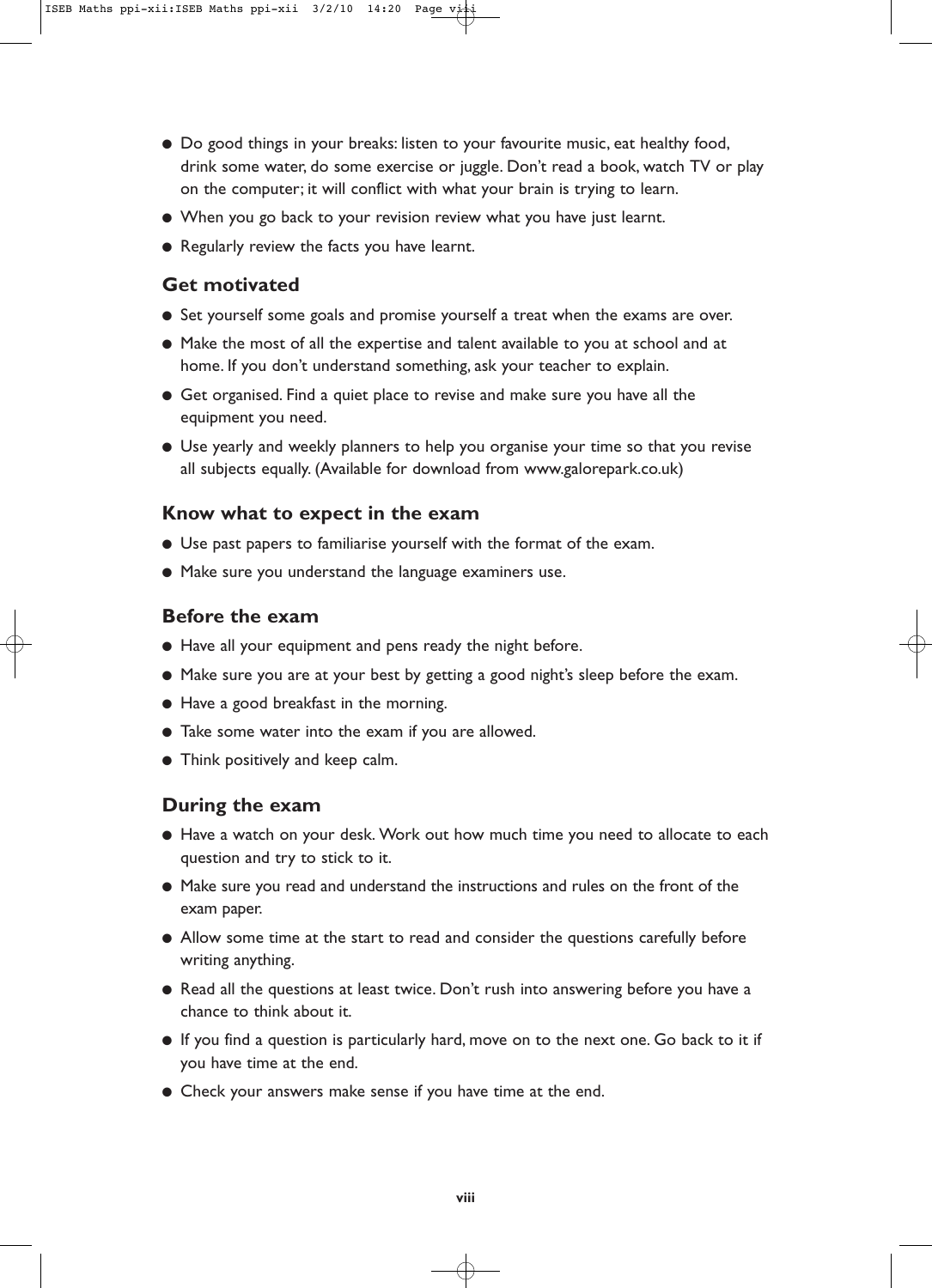- Do good things in your breaks: listen to your favourite music, eat healthy food, drink some water, do some exercise or juggle. Don't read a book, watch TV or play on the computer; it will conflict with what your brain is trying to learn.
- When you go back to your revision review what you have just learnt.
- Regularly review the facts you have learnt.

#### **Get motivated**

- Set yourself some goals and promise yourself a treat when the exams are over.
- Make the most of all the expertise and talent available to you at school and at home. If you don't understand something, ask your teacher to explain.
- Get organised. Find a quiet place to revise and make sure you have all the equipment you need.
- Use yearly and weekly planners to help you organise your time so that you revise all subjects equally. (Available for download from www.galorepark.co.uk)

#### **Know what to expect in the exam**

- Use past papers to familiarise yourself with the format of the exam.
- Make sure you understand the language examiners use.

#### **Before the exam**

- Have all your equipment and pens ready the night before.
- Make sure you are at your best by getting a good night's sleep before the exam.
- Have a good breakfast in the morning.
- Take some water into the exam if you are allowed.
- Think positively and keep calm.

### **During the exam**

- Have a watch on your desk. Work out how much time you need to allocate to each question and try to stick to it.
- Make sure you read and understand the instructions and rules on the front of the exam paper.
- Allow some time at the start to read and consider the questions carefully before writing anything.
- Read all the questions at least twice. Don't rush into answering before you have a chance to think about it.
- If you find a question is particularly hard, move on to the next one. Go back to it if you have time at the end.
- Check your answers make sense if you have time at the end.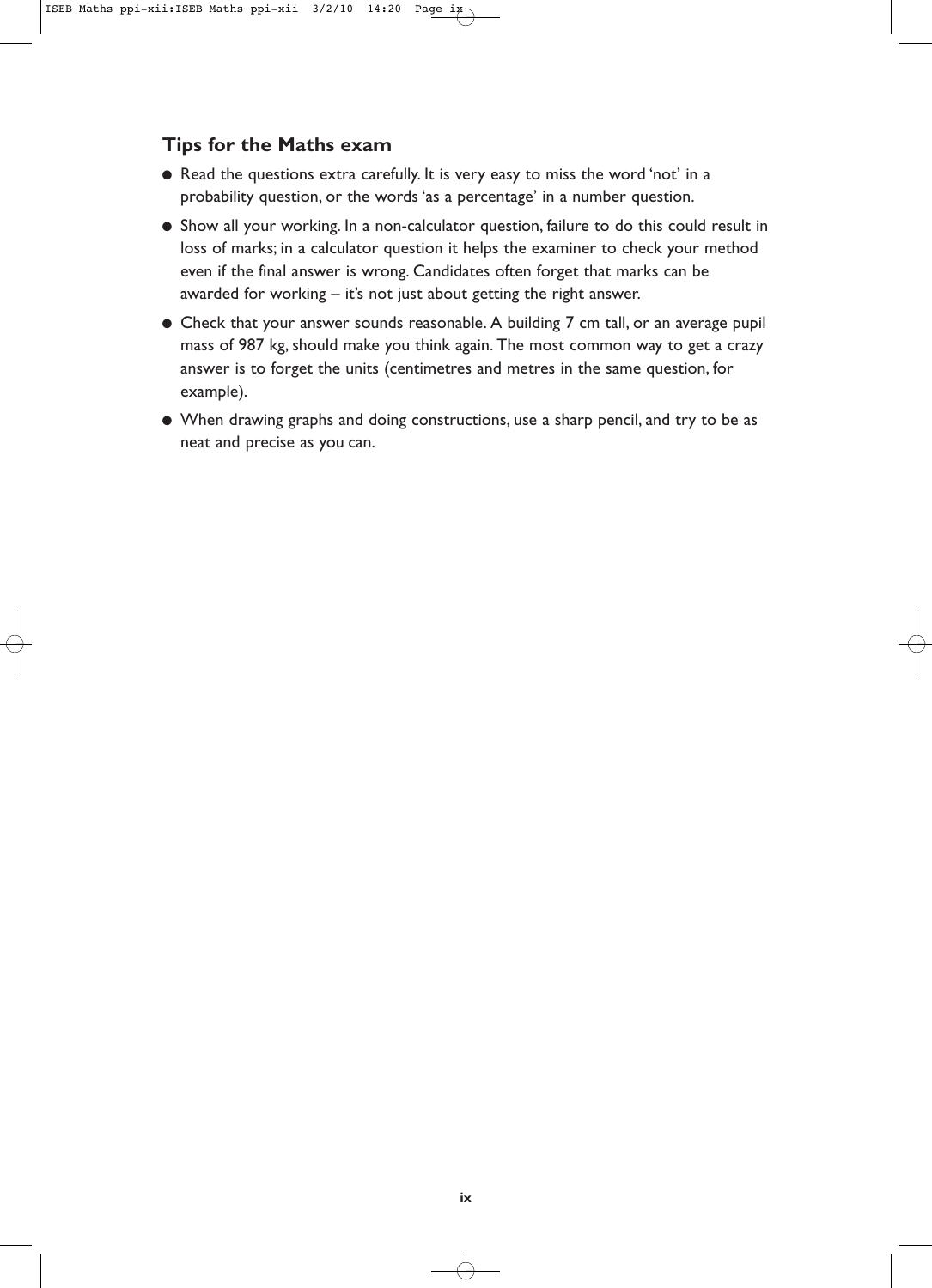## **Tips for the Maths exam**

- Read the questions extra carefully. It is very easy to miss the word 'not' in a probability question, or the words 'as a percentage' in a number question.
- Show all your working. In a non-calculator question, failure to do this could result in loss of marks; in a calculator question it helps the examiner to check your method even if the final answer is wrong. Candidates often forget that marks can be awarded for working – it's not just about getting the right answer.
- Check that your answer sounds reasonable. A building 7 cm tall, or an average pupil mass of 987 kg, should make you think again. The most common way to get a crazy answer is to forget the units (centimetres and metres in the same question, for example).
- When drawing graphs and doing constructions, use a sharp pencil, and try to be as neat and precise as you can.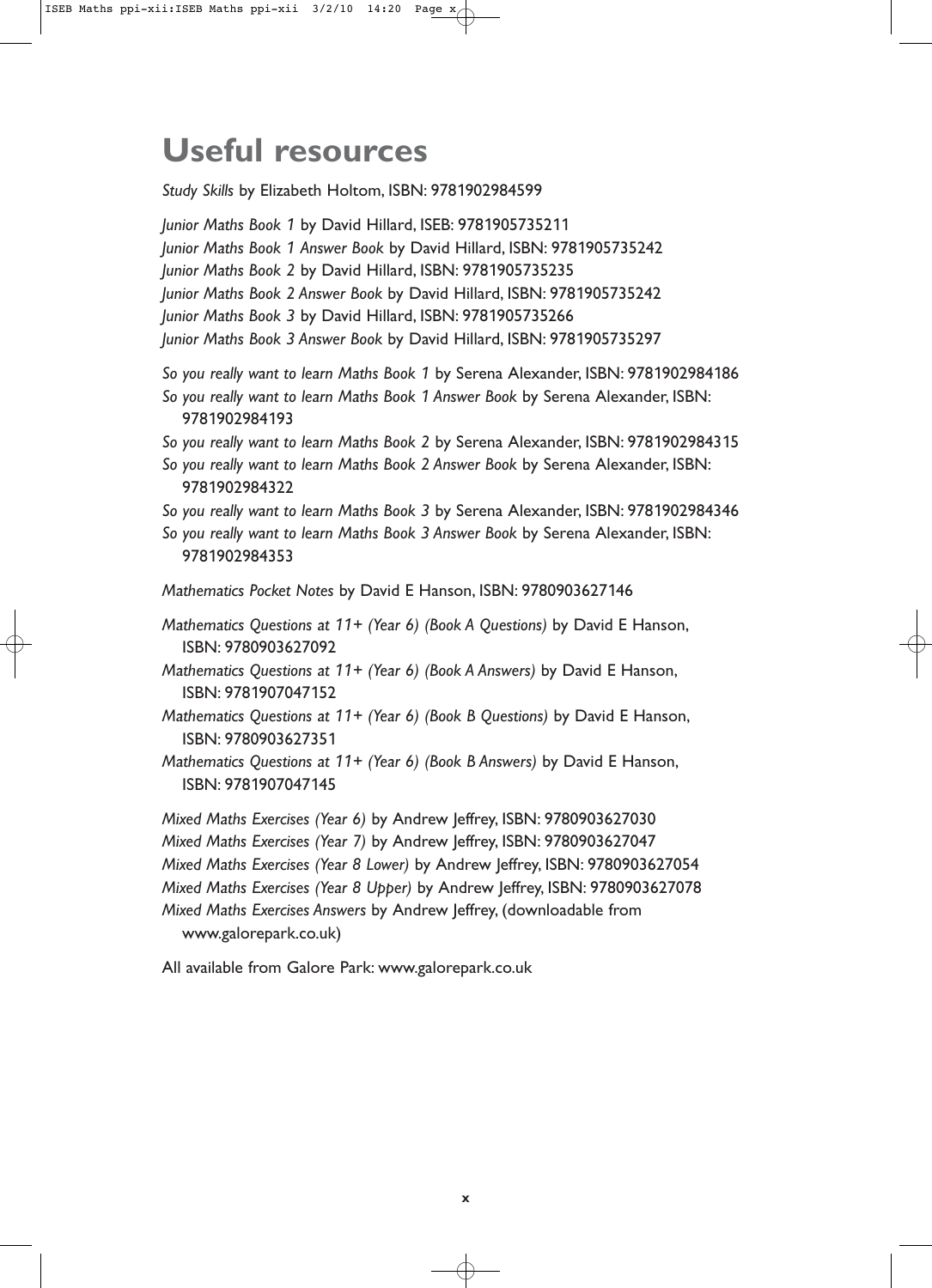## **Useful resources**

*Study Skills* by Elizabeth Holtom, ISBN: 9781902984599 *Junior Maths Book 1* by David Hillard, ISEB: 9781905735211 *Junior Maths Book 1 Answer Book* by David Hillard, ISBN: 9781905735242 *Junior Maths Book 2* by David Hillard, ISBN: 9781905735235 *Junior Maths Book 2 Answer Book* by David Hillard, ISBN: 9781905735242 *Junior Maths Book 3* by David Hillard, ISBN: 9781905735266 *Junior Maths Book 3 Answer Book* by David Hillard, ISBN: 9781905735297 *So you really want to learn Maths Book 1* by Serena Alexander, ISBN: 9781902984186 *So you really want to learn Maths Book 1 Answer Book* by Serena Alexander, ISBN: 9781902984193 *So you really want to learn Maths Book 2* by Serena Alexander, ISBN: 9781902984315 *So you really want to learn Maths Book 2 Answer Book* by Serena Alexander, ISBN: 9781902984322 *So you really want to learn Maths Book 3* by Serena Alexander, ISBN: 9781902984346 *So you really want to learn Maths Book 3 Answer Book* by Serena Alexander, ISBN: 9781902984353 *Mathematics Pocket Notes* by David E Hanson, ISBN: 9780903627146 *Mathematics Questions at 11+ (Year 6) (Book A Questions)* by David E Hanson, ISBN: 9780903627092 *Mathematics Questions at 11+ (Year 6) (Book A Answers)* by David E Hanson, ISBN: 9781907047152 *Mathematics Questions at 11+ (Year 6) (Book B Questions)* by David E Hanson, ISBN: 9780903627351 *Mathematics Questions at 11+ (Year 6) (Book B Answers)* by David E Hanson, ISBN: 9781907047145 *Mixed Maths Exercises (Year 6)* by Andrew Jeffrey, ISBN: 9780903627030 *Mixed Maths Exercises (Year 7)* by Andrew Jeffrey, ISBN: 9780903627047 *Mixed Maths Exercises (Year 8 Lower)* by Andrew Jeffrey, ISBN: 9780903627054 *Mixed Maths Exercises (Year 8 Upper)* by Andrew Jeffrey, ISBN: 9780903627078

*Mixed Maths Exercises Answers* by Andrew Jeffrey, (downloadable from www.galorepark.co.uk)

All available from Galore Park: www.galorepark.co.uk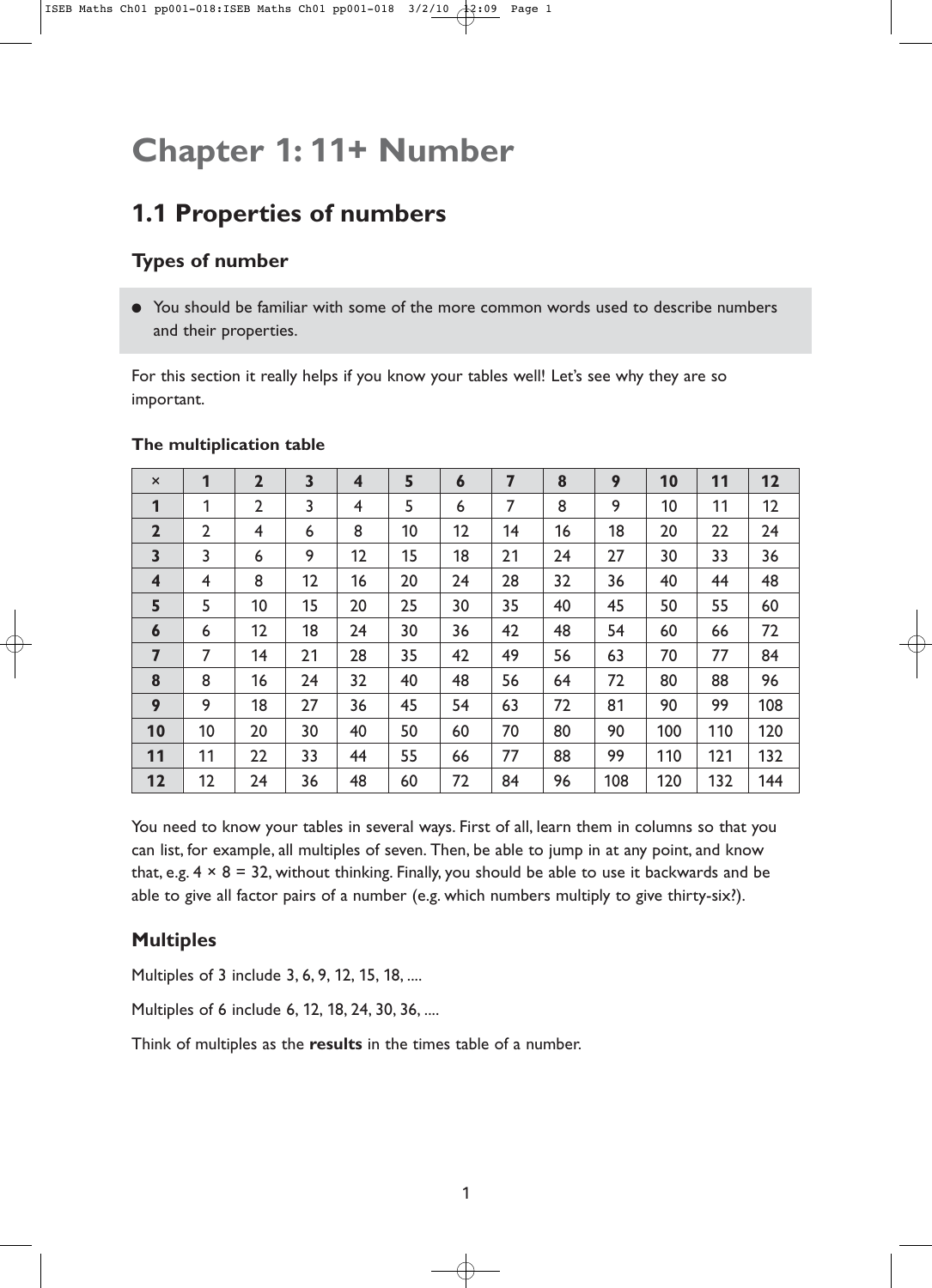## **Chapter 1: 11+ Number**

## **1.1 Properties of numbers**

## **Types of number**

● You should be familiar with some of the more common words used to describe numbers and their properties.

For this section it really helps if you know your tables well! Let's see why they are so important.

| $\boldsymbol{\mathsf{x}}$ | 1              | $\overline{2}$ | 3  | $\overline{\mathbf{4}}$ | 5  | $\boldsymbol{6}$ | 7  | 8  | 9   | 10  | 11  | 12  |
|---------------------------|----------------|----------------|----|-------------------------|----|------------------|----|----|-----|-----|-----|-----|
| 1                         | 1              | $\overline{2}$ | 3  | $\overline{4}$          | 5  | 6                | 7  | 8  | 9   | 10  | 11  | 12  |
| $\overline{2}$            | $\overline{2}$ | $\overline{4}$ | 6  | 8                       | 10 | 12               | 14 | 16 | 18  | 20  | 22  | 24  |
| $\overline{\mathbf{3}}$   | 3              | 6              | 9  | 12                      | 15 | 18               | 21 | 24 | 27  | 30  | 33  | 36  |
| $\overline{\mathbf{4}}$   | 4              | 8              | 12 | 16                      | 20 | 24               | 28 | 32 | 36  | 40  | 44  | 48  |
| 5                         | 5              | 10             | 15 | 20                      | 25 | 30               | 35 | 40 | 45  | 50  | 55  | 60  |
| $\boldsymbol{6}$          | 6              | 12             | 18 | 24                      | 30 | 36               | 42 | 48 | 54  | 60  | 66  | 72  |
| $\overline{7}$            | 7              | 14             | 21 | 28                      | 35 | 42               | 49 | 56 | 63  | 70  | 77  | 84  |
| 8                         | 8              | 16             | 24 | 32                      | 40 | 48               | 56 | 64 | 72  | 80  | 88  | 96  |
| 9                         | 9              | 18             | 27 | 36                      | 45 | 54               | 63 | 72 | 81  | 90  | 99  | 108 |
| 10                        | 10             | 20             | 30 | 40                      | 50 | 60               | 70 | 80 | 90  | 100 | 110 | 120 |
| 11                        | 11             | 22             | 33 | 44                      | 55 | 66               | 77 | 88 | 99  | 110 | 121 | 132 |
| 12                        | 12             | 24             | 36 | 48                      | 60 | 72               | 84 | 96 | 108 | 120 | 132 | 144 |

### **The multiplication table**

You need to know your tables in several ways. First of all, learn them in columns so that you can list, for example, all multiples of seven. Then, be able to jump in at any point, and know that, e.g.  $4 \times 8 = 32$ , without thinking. Finally, you should be able to use it backwards and be able to give all factor pairs of a number (e.g. which numbers multiply to give thirty-six?).

## **Multiples**

Multiples of 3 include 3, 6, 9, 12, 15, 18, ....

Multiples of 6 include 6, 12, 18, 24, 30, 36, ....

Think of multiples as the **results** in the times table of a number.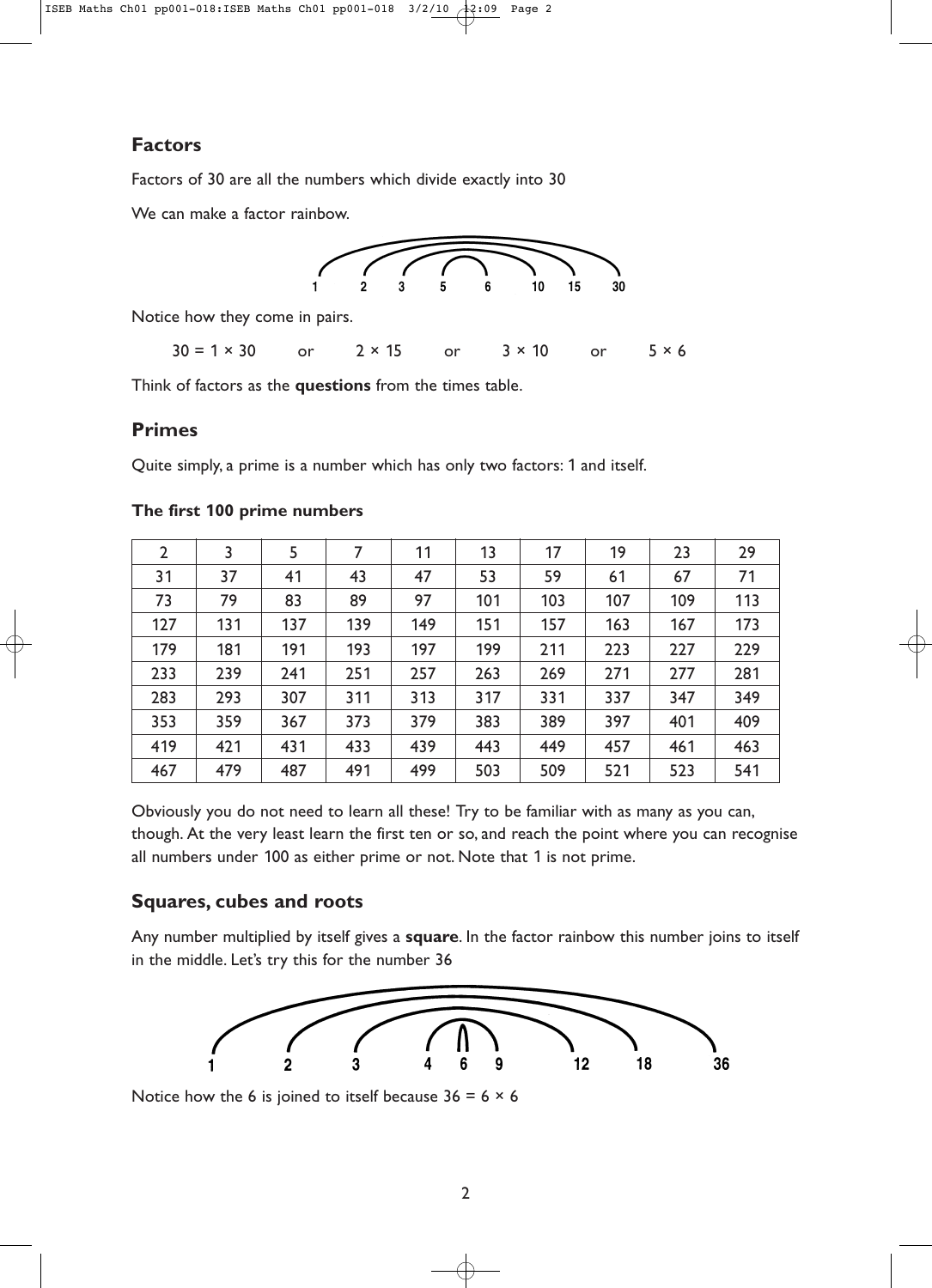### **Factors**

Factors of 30 are all the numbers which divide exactly into 30

We can make a factor rainbow.



Notice how they come in pairs.

 $30 = 1 \times 30$  or  $2 \times 15$  or  $3 \times 10$  or  $5 \times 6$ 

Think of factors as the **questions** from the times table.

### **Primes**

Quite simply, a prime is a number which has only two factors: 1 and itself.

| $\overline{2}$ | 3   | 5   | 7   | 11  | 13  | 17  | 19  | 23  | 29  |
|----------------|-----|-----|-----|-----|-----|-----|-----|-----|-----|
| 31             | 37  | 41  | 43  | 47  | 53  | 59  | 61  | 67  | 71  |
| 73             | 79  | 83  | 89  | 97  | 101 | 103 | 107 | 109 | 113 |
| 127            | 131 | 137 | 139 | 149 | 151 | 157 | 163 | 167 | 173 |
| 179            | 181 | 191 | 193 | 197 | 199 | 211 | 223 | 227 | 229 |
| 233            | 239 | 241 | 251 | 257 | 263 | 269 | 271 | 277 | 281 |
| 283            | 293 | 307 | 311 | 313 | 317 | 331 | 337 | 347 | 349 |
| 353            | 359 | 367 | 373 | 379 | 383 | 389 | 397 | 401 | 409 |
| 419            | 421 | 431 | 433 | 439 | 443 | 449 | 457 | 461 | 463 |
| 467            | 479 | 487 | 491 | 499 | 503 | 509 | 521 | 523 | 541 |

#### **The first 100 prime numbers**

Obviously you do not need to learn all these! Try to be familiar with as many as you can, though. At the very least learn the first ten or so, and reach the point where you can recognise all numbers under 100 as either prime or not. Note that 1 is not prime.

### **Squares, cubes and roots**

Any number multiplied by itself gives a **square**. In the factor rainbow this number joins to itself in the middle. Let's try this for the number 36



Notice how the 6 is joined to itself because  $36 = 6 \times 6$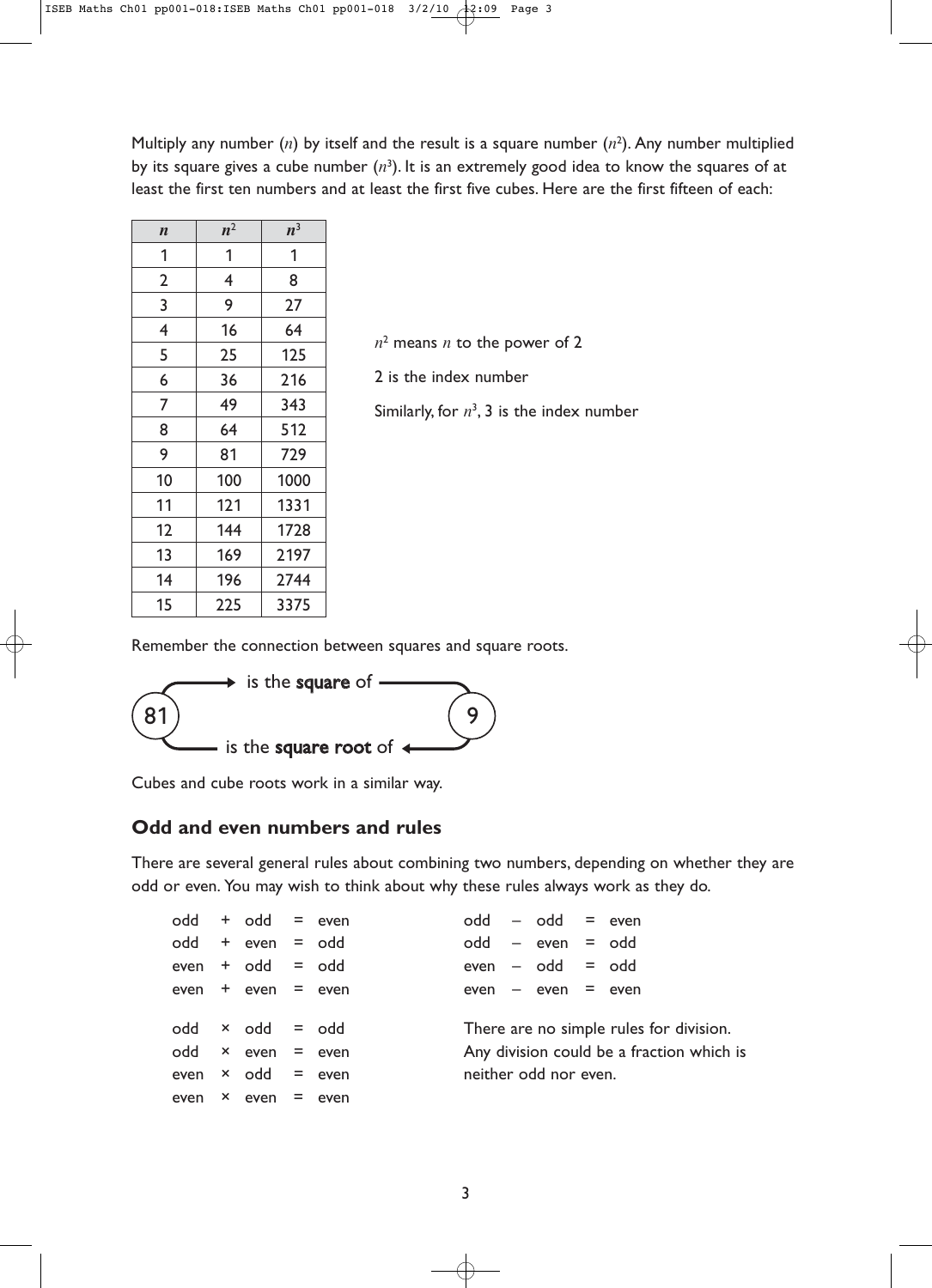Multiply any number (*n*) by itself and the result is a square number (*n*<sup>2</sup> ). Any number multiplied by its square gives a cube number  $(n^3)$ . It is an extremely good idea to know the squares of at least the first ten numbers and at least the first five cubes. Here are the first fifteen of each:

| $\boldsymbol{n}$ | $n^2$                   | $n^3$ |
|------------------|-------------------------|-------|
| 1                | 1                       | 1     |
| $\overline{2}$   | $\overline{\mathbf{4}}$ | 8     |
| 3                | 9                       | 27    |
| $\overline{4}$   | 16                      | 64    |
| 5                | 25                      | 125   |
| 6                | 36                      | 216   |
| $\overline{7}$   | 49                      | 343   |
| 8                | 64                      | 512   |
| 9                | 81                      | 729   |
| 10               | 100                     | 1000  |
| 11               | 121                     | 1331  |
| 12               | 144                     | 1728  |
| 13               | 169                     | 2197  |
| 14               | 196                     | 2744  |
| 15               | 225                     | 3375  |

 $n<sup>2</sup>$  means *n* to the power of 2

2 is the index number

Similarly, for  $n^3$ , 3 is the index number

Remember the connection between squares and square roots.



Cubes and cube roots work in a similar way.

#### **Odd and even numbers and rules**

There are several general rules about combining two numbers, depending on whether they are odd or even. You may wish to think about why these rules always work as they do.

|  | $odd + odd = even$          |  |  | $odd - odd = even$    |                                           |
|--|-----------------------------|--|--|-----------------------|-------------------------------------------|
|  | $odd + even = odd$          |  |  | $odd - even = odd$    |                                           |
|  | $even + odd = odd$          |  |  | $even - odd = odd$    |                                           |
|  | $even + even = even$        |  |  | $even - even = even$  |                                           |
|  |                             |  |  |                       |                                           |
|  | $odd \times odd = odd$      |  |  |                       | There are no simple rules for division.   |
|  | odd $\times$ even = even    |  |  |                       | Any division could be a fraction which is |
|  | even $\times$ odd = even    |  |  | neither odd nor even. |                                           |
|  | even $\times$ even $=$ even |  |  |                       |                                           |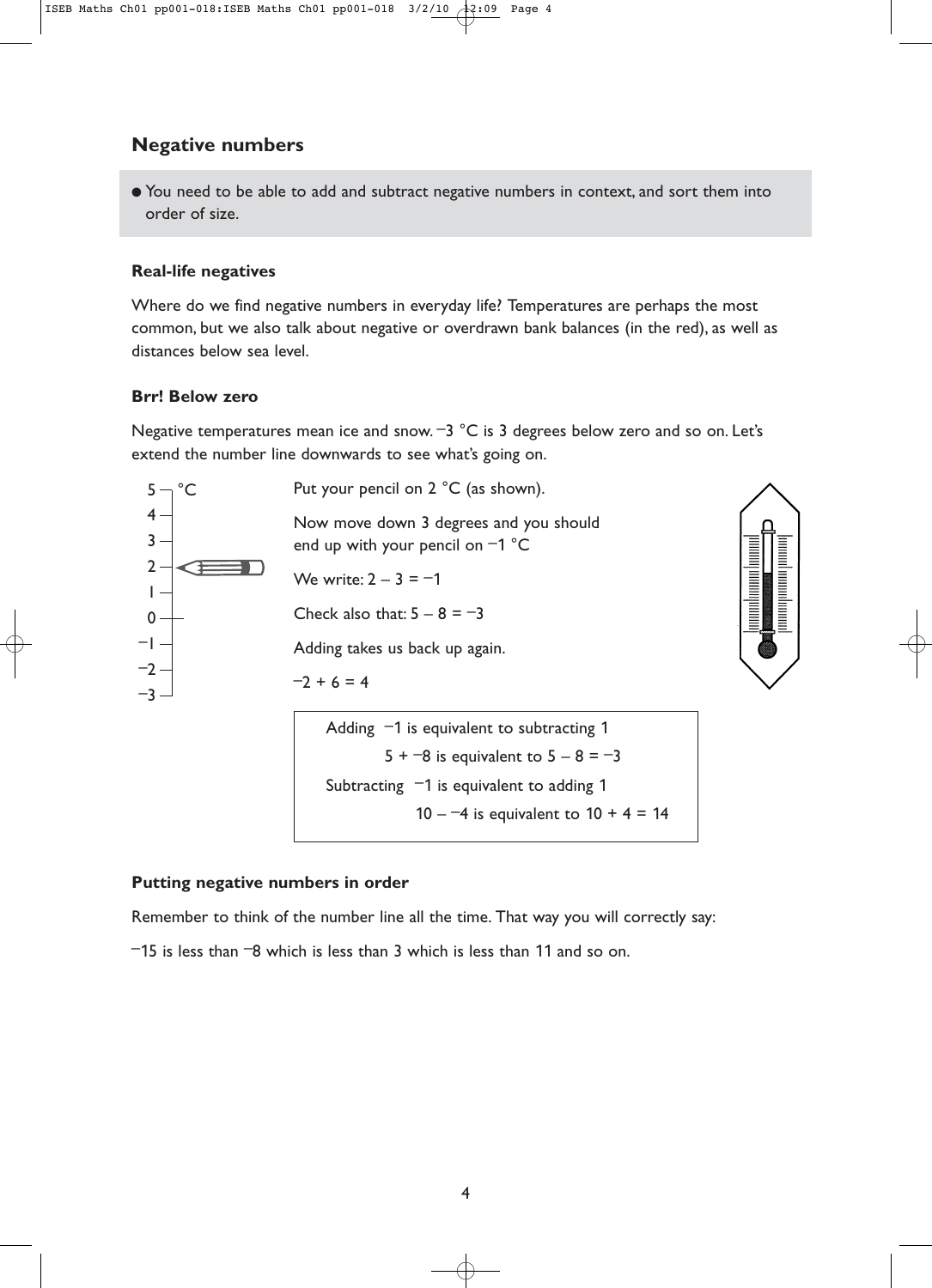### **Negative numbers**

● You need to be able to add and subtract negative numbers in context, and sort them into order of size.

#### **Real-life negatives**

Where do we find negative numbers in everyday life? Temperatures are perhaps the most common, but we also talk about negative or overdrawn bank balances (in the red), as well as distances below sea level.

#### **Brr! Below zero**

Negative temperatures mean ice and snow.  $-3$  °C is 3 degrees below zero and so on. Let's extend the number line downwards to see what's going on.



#### **Putting negative numbers in order**

Remember to think of the number line all the time. That way you will correctly say:

 $-15$  is less than  $-8$  which is less than 3 which is less than 11 and so on.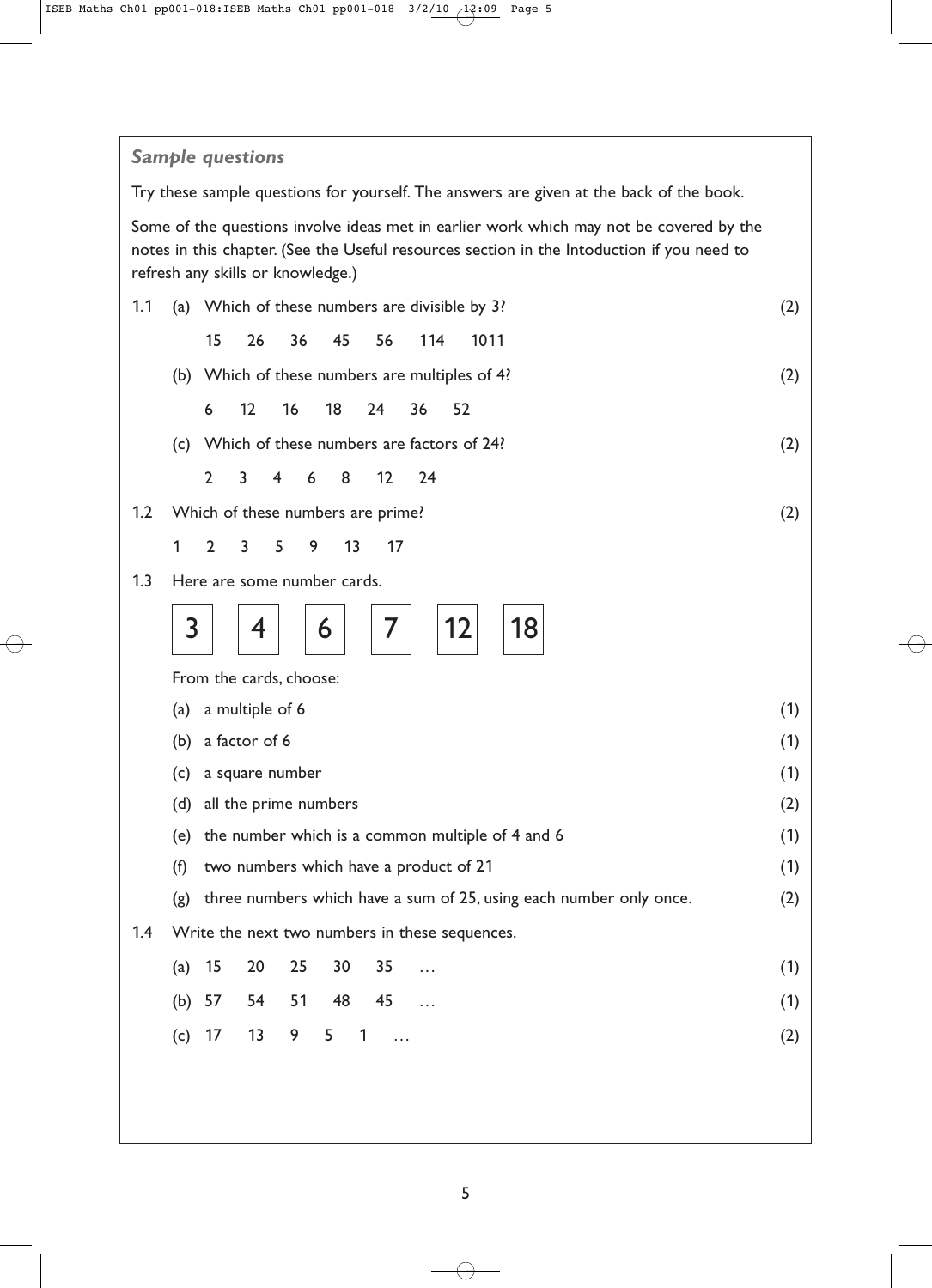### *Sample questions*

Try these sample questions for yourself. The answers are given at the back of the book.

Some of the questions involve ideas met in earlier work which may not be covered by the notes in this chapter. (See the Useful resources section in the Intoduction if you need to refresh any skills or knowledge.)